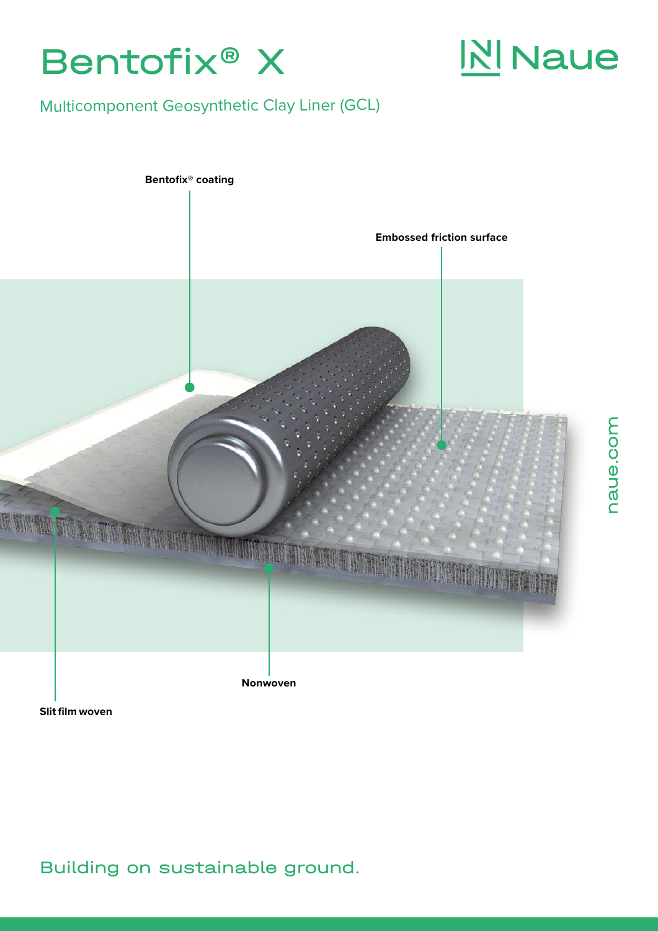

# **N** Naue

naue.com

naue.com

# Multicomponent Geosynthetic Clay Liner (GCL)



**Slit film woven**

# Building on sustainable ground.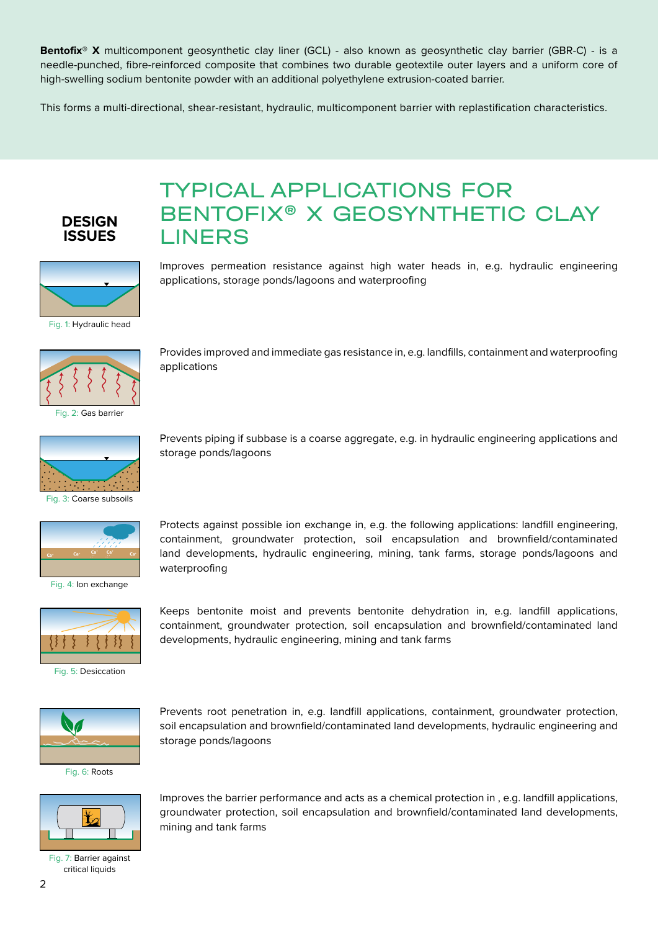**Bentofix® X** multicomponent geosynthetic clay liner (GCL) - also known as geosynthetic clay barrier (GBR-C) - is a needle-punched, fibre-reinforced composite that combines two durable geotextile outer layers and a uniform core of high-swelling sodium bentonite powder with an additional polyethylene extrusion-coated barrier.

This forms a multi-directional, shear-resistant, hydraulic, multicomponent barrier with replastification characteristics.

TYPICAL APPLICATIONS FOR

applications, storage ponds/lagoons and waterproofing

developments, hydraulic engineering, mining and tank farms

BENTOFIX® X GEOSYNTHETIC CLAY

Improves permeation resistance against high water heads in, e.g. hydraulic engineering

Provides improved and immediate gas resistance in, e.g. landfills, containment and waterproofing

Prevents piping if subbase is a coarse aggregate, e.g. in hydraulic engineering applications and

Protects against possible ion exchange in, e.g. the following applications: landfill engineering, containment, groundwater protection, soil encapsulation and brownfield/contaminated land developments, hydraulic engineering, mining, tank farms, storage ponds/lagoons and



LINERS

applications

waterproofing



Fig. 1: Hydraulic head



Fig. 2: Gas barrier



storage ponds/lagoons



Fig. 4: Ion exchange



Fig. 5: Desiccation

Keeps bentonite moist and prevents bentonite dehydration in, e.g. landfill applications, containment, groundwater protection, soil encapsulation and brownfield/contaminated land



Fig. 6: Roots



Fig. 7: Barrier against critical liquids

Prevents root penetration in, e.g. landfill applications, containment, groundwater protection, soil encapsulation and brownfield/contaminated land developments, hydraulic engineering and storage ponds/lagoons

Improves the barrier performance and acts as a chemical protection in , e.g. landfill applications, groundwater protection, soil encapsulation and brownfield/contaminated land developments, mining and tank farms

2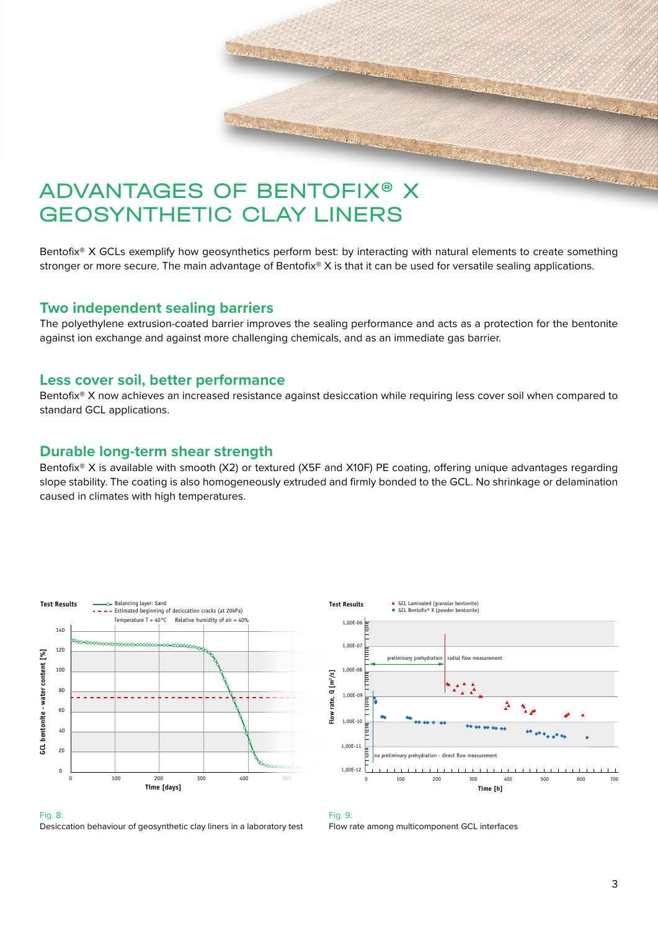

Bentofix<sup>®</sup> X GCLs exemplify how geosynthetics perform best: by interacting with natural elements to create something stronger or more secure. The main advantage of Bentofix® X is that it can be used for versatile sealing applications.

#### **Two independent sealing barriers**

The polyethylene extrusion-coated barrier improves the sealing performance and acts as a protection for the bentonite against ion exchange and against more challenging chemicals, and as an immediate gas barrier.

#### **Less cover soil, better performance**

Bentofix<sup>®</sup> X now achieves an increased resistance against desiccation while requiring less cover soil when compared to standard GCL applications.

### **Durable long-term shear strength**

Bentofix® X is available with smooth (X2) or textured (X5F and X10F) PE coating, offering unique advantages regarding slope stability. The coating is also homogeneously extruded and firmly bonded to the GCL. No shrinkage or delamination caused in climates with high temperatures.





#### Fig. 8: Desiccation behaviour of geosynthetic clay liners in a laboratory test

#### Fig. 9:

Flow rate among multicomponent GCL interfaces